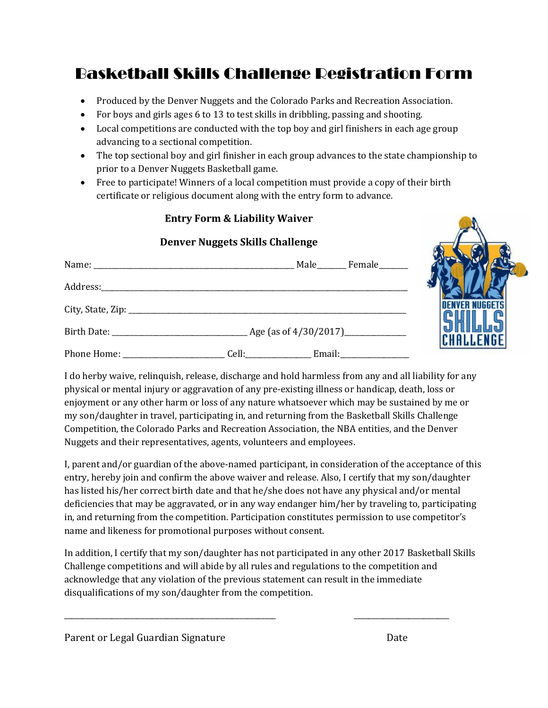## Basketball Skills Challenge Registration Form

- Produced by the Denver Nuggets and the Colorado Parks and Recreation Association.
- For boys and girls ages 6 to 13 to test skills in dribbling, passing and shooting.
- Local competitions are conducted with the top boy and girl finishers in each age group advancing to a sectional competition.
- The top sectional boy and girl finisher in each group advances to the state championship to prior to a Denver Nuggets Basketball game.
- Free to participate! Winners of a local competition must provide a copy of their birth certificate or religious document along with the entry form to advance.

## **Entry Form & Liability Waiver**

## **Denver Nuggets Skills Challenge**

| Male Female |         |
|-------------|---------|
|             |         |
|             | DEI     |
|             | S<br>CH |
|             |         |

I do herby waive, relinquish, release, discharge and hold harmless from any and all liability for any physical or mental injury or aggravation of any pre-existing illness or handicap, death, loss or enjoyment or any other harm or loss of any nature whatsoever which may be sustained by me or my son/daughter in travel, participating in, and returning from the Basketball Skills Challenge Competition, the Colorado Parks and Recreation Association, the NBA entities, and the Denver Nuggets and their representatives, agents, volunteers and employees.

I, parent and/or guardian of the above-named participant, in consideration of the acceptance of this entry, hereby join and confirm the above waiver and release. Also, I certify that my son/daughter has listed his/her correct birth date and that he/she does not have any physical and/or mental deficiencies that may be aggravated, or in any way endanger him/her by traveling to, participating in, and returning from the competition. Participation constitutes permission to use competitor's name and likeness for promotional purposes without consent.

In addition, I certify that my son/daughter has not participated in any other 2017 Basketball Skills Challenge competitions and will abide by all rules and regulations to the competition and acknowledge that any violation of the previous statement can result in the immediate disqualifications of my son/daughter from the competition.

\_\_\_\_\_\_\_\_\_\_\_\_\_\_\_\_\_\_\_\_\_\_\_\_\_\_\_\_\_\_\_\_\_\_\_\_\_\_\_\_\_\_\_\_\_\_\_\_\_\_\_\_\_\_\_\_\_\_ \_\_\_\_\_\_\_\_\_\_\_\_\_\_\_\_\_\_\_\_\_\_\_\_\_\_